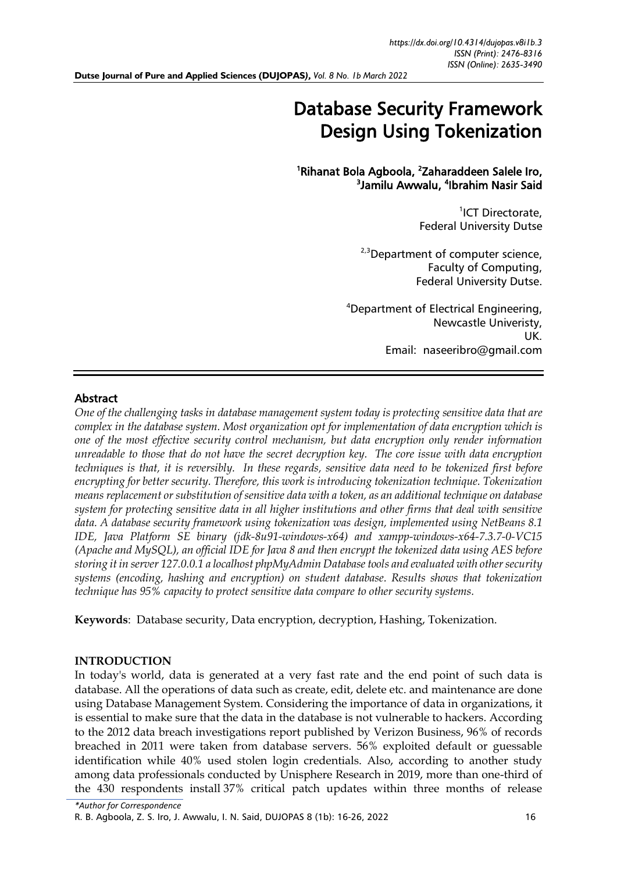# Database Security Framework Design Using Tokenization

<sup>1</sup>Rihanat Bola Agboola, <sup>2</sup>Zaharaddeen Salele Iro, <sup>3</sup>Jamilu Awwalu, <sup>4</sup>Ibrahim Nasir Said

> <sup>1</sup>ICT Directorate, Federal University Dutse

<sup>2,3</sup>Department of computer science, Faculty of Computing, Federal University Dutse.

<sup>4</sup>Department of Electrical Engineering, Newcastle Univeristy, UK. Email: naseeribro@gmail.com

## Abstract

*One of the challenging tasks in database management system today is protecting sensitive data that are complex in the database system. Most organization opt for implementation of data encryption which is one of the most effective security control mechanism, but data encryption only render information unreadable to those that do not have the secret decryption key. The core issue with data encryption techniques is that, it is reversibly. In these regards, sensitive data need to be tokenized first before encrypting for better security. Therefore, this work is introducing tokenization technique. Tokenization means replacement or substitution of sensitive data with a token, as an additional technique on database system for protecting sensitive data in all higher institutions and other firms that deal with sensitive data. A database security framework using tokenization was design, implemented using NetBeans 8.1 IDE, Java Platform SE binary (jdk-8u91-windows-x64) and xampp-windows-x64-7.3.7-0-VC15 (Apache and MySQL), an official IDE for Java 8 and then encrypt the tokenized data using AES before storing it in server 127.0.0.1 a localhost phpMyAdmin Database tools and evaluated with other security systems (encoding, hashing and encryption) on student database. Results shows that tokenization technique has 95% capacity to protect sensitive data compare to other security systems.*

**Keywords**: Database security, Data encryption, decryption, Hashing, Tokenization.

### **INTRODUCTION**

In today's world, data is generated at a very fast rate and the end point of such data is database. All the operations of data such as create, edit, delete etc. and maintenance are done using Database Management System. Considering the importance of data in organizations, it is essential to make sure that the data in the database is not vulnerable to hackers. According to the 2012 data breach investigations report published by Verizon Business, 96% of records breached in 2011 were taken from database servers. 56% exploited default or guessable identification while 40% used stolen login credentials. Also, according to another study among data professionals conducted by Unisphere Research in 2019, more than one-third of the 430 respondents install 37% critical patch updates within three months of release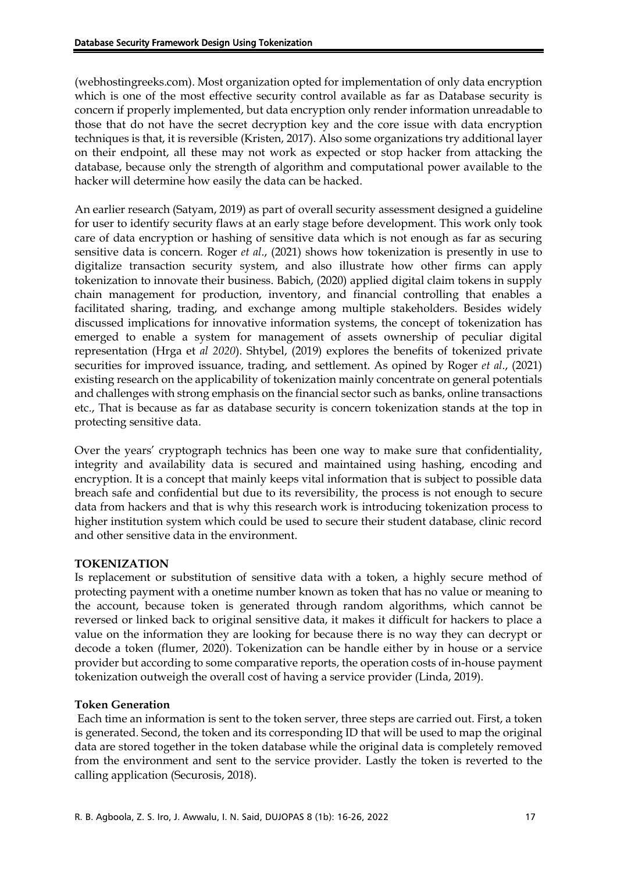(webhostingreeks.com). Most organization opted for implementation of only data encryption which is one of the most effective security control available as far as Database security is concern if properly implemented, but data encryption only render information unreadable to those that do not have the secret decryption key and the core issue with data encryption techniques is that, it is reversible (Kristen, 2017). Also some organizations try additional layer on their endpoint, all these may not work as expected or stop hacker from attacking the database, because only the strength of algorithm and computational power available to the hacker will determine how easily the data can be hacked.

An earlier research (Satyam, 2019) as part of overall security assessment designed a guideline for user to identify security flaws at an early stage before development. This work only took care of data encryption or hashing of sensitive data which is not enough as far as securing sensitive data is concern. Roger *et al*., (2021) shows how tokenization is presently in use to digitalize transaction security system, and also illustrate how other firms can apply tokenization to innovate their business. Babich, (2020) applied digital claim tokens in supply chain management for production, inventory, and financial controlling that enables a facilitated sharing, trading, and exchange among multiple stakeholders. Besides widely discussed implications for innovative information systems, the concept of tokenization has emerged to enable a system for management of assets ownership of peculiar digital representation (Hrga et *al 2020*). Shtybel, (2019) explores the benefits of tokenized private securities for improved issuance, trading, and settlement. As opined by Roger *et al*., (2021) existing research on the applicability of tokenization mainly concentrate on general potentials and challenges with strong emphasis on the financial sector such as banks, online transactions etc., That is because as far as database security is concern tokenization stands at the top in protecting sensitive data.

Over the years' cryptograph technics has been one way to make sure that confidentiality, integrity and availability data is secured and maintained using hashing, encoding and encryption. It is a concept that mainly keeps vital information that is subject to possible data breach safe and confidential but due to its reversibility, the process is not enough to secure data from hackers and that is why this research work is introducing tokenization process to higher institution system which could be used to secure their student database, clinic record and other sensitive data in the environment.

### **TOKENIZATION**

Is replacement or substitution of sensitive data with a token, a highly secure method of protecting payment with a onetime number known as token that has no value or meaning to the account, because token is generated through random algorithms, which cannot be reversed or linked back to original sensitive data, it makes it difficult for hackers to place a value on the information they are looking for because there is no way they can decrypt or decode a token (flumer, 2020). Tokenization can be handle either by in house or a service provider but according to some comparative reports, the operation costs of in-house payment tokenization outweigh the overall cost of having a service provider (Linda, 2019).

### **Token Generation**

Each time an information is sent to the token server, three steps are carried out. First, a token is generated. Second, the token and its corresponding ID that will be used to map the original data are stored together in the token database while the original data is completely removed from the environment and sent to the service provider. Lastly the token is reverted to the calling application (Securosis, 2018).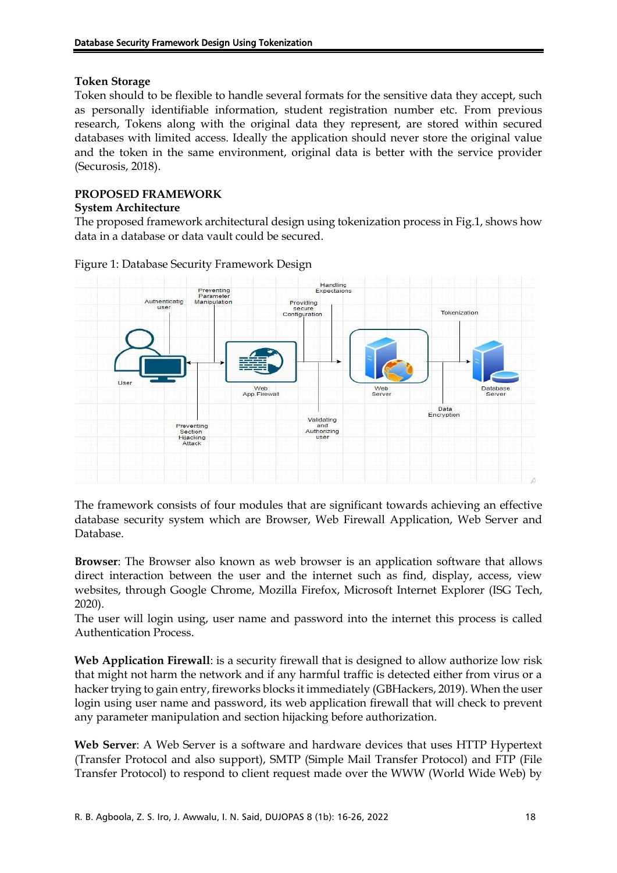### **Token Storage**

Token should to be flexible to handle several formats for the sensitive data they accept, such as personally identifiable information, student registration number etc. From previous research, Tokens along with the original data they represent, are stored within secured databases with limited access. Ideally the application should never store the original value and the token in the same environment, original data is better with the service provider (Securosis, 2018).

# **PROPOSED FRAMEWORK**

### **System Architecture**

The proposed framework architectural design using tokenization process in Fig.1, shows how data in a database or data vault could be secured.



Figure 1: Database Security Framework Design

The framework consists of four modules that are significant towards achieving an effective database security system which are Browser, Web Firewall Application, Web Server and Database.

**Browser**: The Browser also known as web browser is an application software that allows direct interaction between the user and the internet such as find, display, access, view websites, through Google Chrome, Mozilla Firefox, Microsoft Internet Explorer (ISG Tech, 2020).

The user will login using, user name and password into the internet this process is called Authentication Process.

**Web Application Firewall**: is a security firewall that is designed to allow authorize low risk that might not harm the network and if any harmful traffic is detected either from virus or a hacker trying to gain entry, fireworks blocks it immediately (GBHackers, 2019). When the user login using user name and password, its web application firewall that will check to prevent any parameter manipulation and section hijacking before authorization.

**Web Server**: A Web Server is a software and hardware devices that uses HTTP Hypertext (Transfer Protocol and also support), SMTP (Simple Mail Transfer Protocol) and FTP (File Transfer Protocol) to respond to client request made over the WWW (World Wide Web) by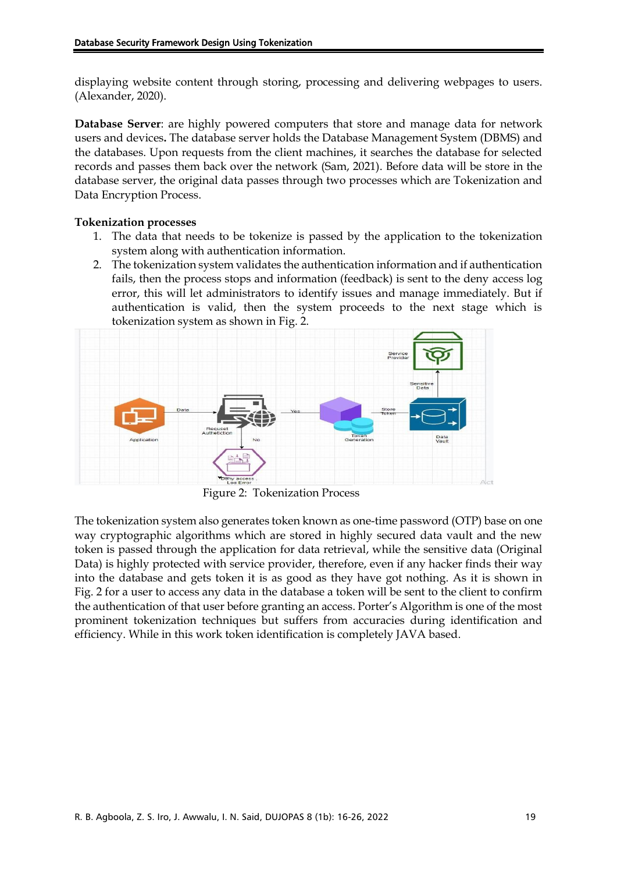displaying website content through storing, processing and delivering webpages to users. (Alexander, 2020).

**Database Server**: are highly powered computers that store and manage data for network users and devices**.** The database server holds the Database Management System (DBMS) and the databases. Upon requests from the client machines, it searches the database for selected records and passes them back over the network (Sam, 2021). Before data will be store in the database server, the original data passes through two processes which are Tokenization and Data Encryption Process.

### **Tokenization processes**

- 1. The data that needs to be tokenize is passed by the application to the tokenization system along with authentication information.
- 2. The tokenization system validates the authentication information and if authentication fails, then the process stops and information (feedback) is sent to the deny access log error, this will let administrators to identify issues and manage immediately. But if authentication is valid, then the system proceeds to the next stage which is tokenization system as shown in Fig. 2.



Figure 2: Tokenization Process

The tokenization system also generates token known as one-time password (OTP) base on one way cryptographic algorithms which are stored in highly secured data vault and the new token is passed through the application for data retrieval, while the sensitive data (Original Data) is highly protected with service provider, therefore, even if any hacker finds their way into the database and gets token it is as good as they have got nothing. As it is shown in Fig. 2 for a user to access any data in the database a token will be sent to the client to confirm the authentication of that user before granting an access. Porter's Algorithm is one of the most prominent tokenization techniques but suffers from accuracies during identification and efficiency. While in this work token identification is completely JAVA based.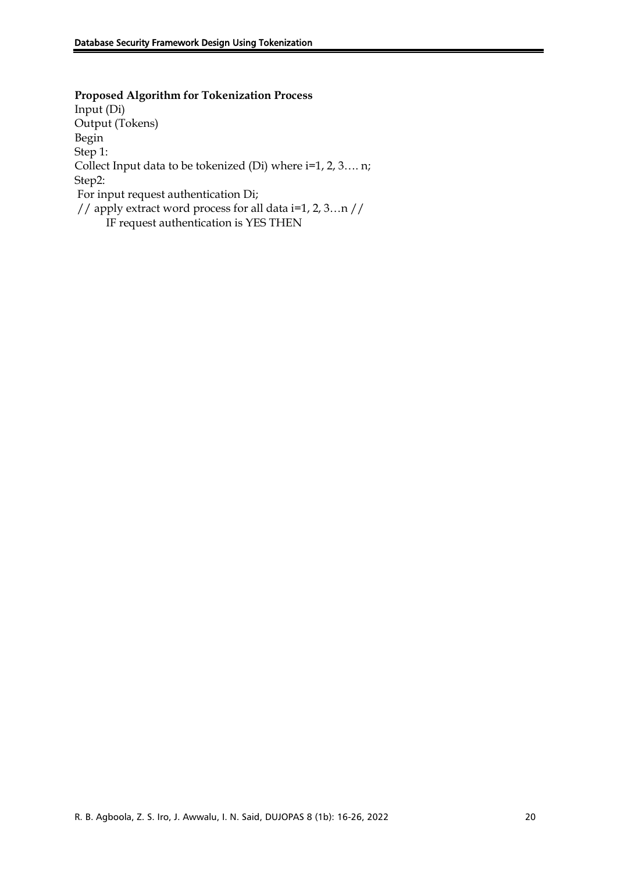**Proposed Algorithm for Tokenization Process** Input (Di) Output (Tokens) Begin Step 1: Collect Input data to be tokenized (Di) where i=1, 2, 3…. n; Step2: For input request authentication Di; // apply extract word process for all data i=1, 2, 3…n // IF request authentication is YES THEN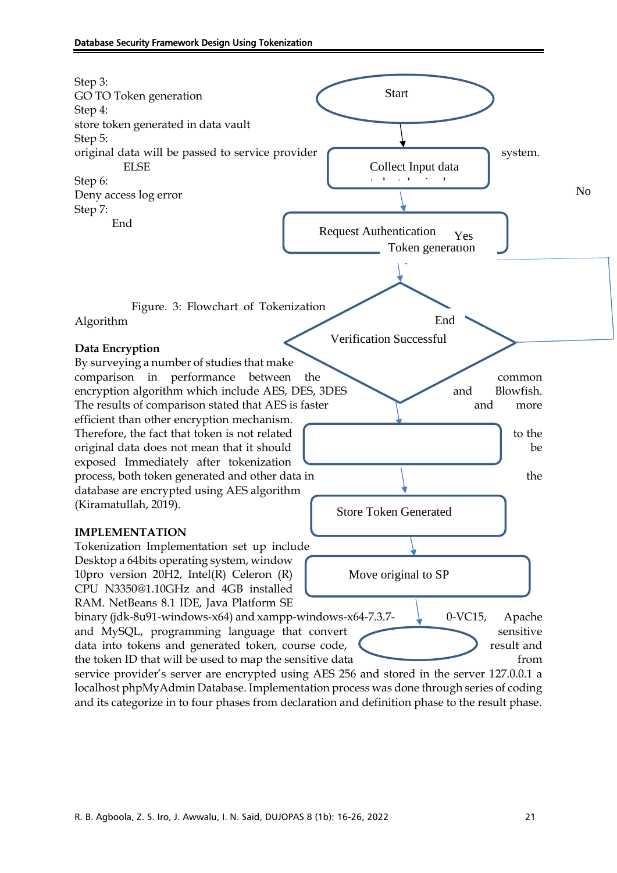

localhost phpMyAdmin Database. Implementation process was done through series of coding and its categorize in to four phases from declaration and definition phase to the result phase.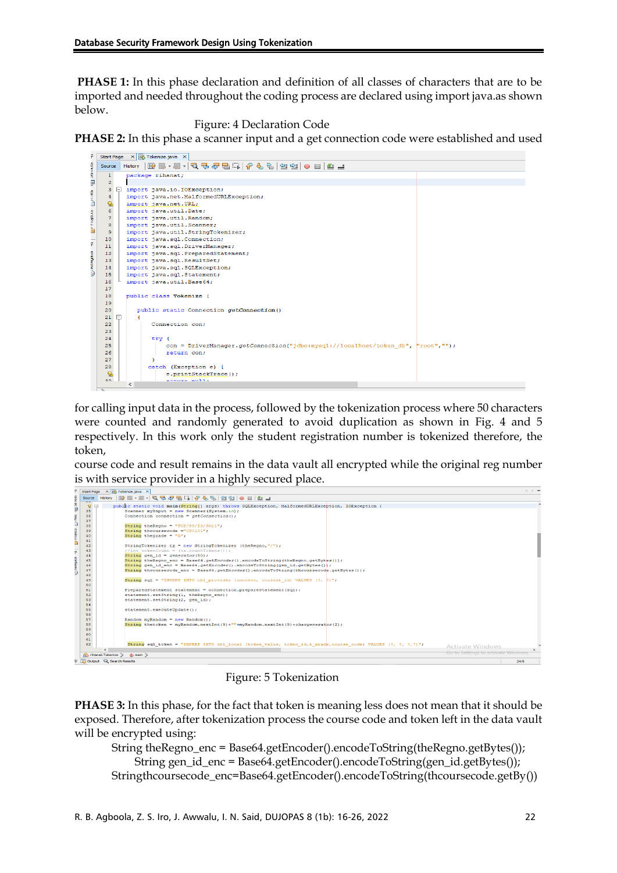**PHASE 1:** In this phase declaration and definition of all classes of characters that are to be imported and needed throughout the coding process are declared using import java.as shown below.

Figure: 4 Declaration Code

**PHASE 2:** In this phase a scanner input and a get connection code were established and used

| F                     |                                                | Start Page X 3 Tokenize.java X |              |                                                                                   |  |  |  |  |  |  |  |
|-----------------------|------------------------------------------------|--------------------------------|--------------|-----------------------------------------------------------------------------------|--|--|--|--|--|--|--|
| <b>CONA</b>           | RE-51002501060010101010<br>History  <br>Source |                                |              |                                                                                   |  |  |  |  |  |  |  |
| Ŗ                     | $1\,$                                          |                                |              | package rihanat:                                                                  |  |  |  |  |  |  |  |
| ПØ <sub>п</sub>       | $\overline{a}$                                 |                                |              |                                                                                   |  |  |  |  |  |  |  |
|                       | $\overline{3}$                                 | ⊟                              |              | import java.io.IOException;                                                       |  |  |  |  |  |  |  |
| ggm 1                 | $\overline{4}$                                 |                                |              | import java.net.MalformedURLException;                                            |  |  |  |  |  |  |  |
| Ľ                     | Q                                              |                                |              | import java.net.URL;                                                              |  |  |  |  |  |  |  |
|                       | 6                                              |                                |              | import java.util.Date;                                                            |  |  |  |  |  |  |  |
| <b>Elle Friedrich</b> | $\overline{7}$                                 |                                |              | import java.util.Random;                                                          |  |  |  |  |  |  |  |
|                       | 8                                              |                                |              | import java.util.Scanner;                                                         |  |  |  |  |  |  |  |
|                       | 9                                              |                                |              | import java.util.StringTokenizer;                                                 |  |  |  |  |  |  |  |
| ı,                    | 10                                             |                                |              | import java.sql.Connection;                                                       |  |  |  |  |  |  |  |
|                       | 11                                             |                                |              | import java.sql.DriverManager;                                                    |  |  |  |  |  |  |  |
|                       | 12                                             |                                |              | import java.sql.PreparedStatement;                                                |  |  |  |  |  |  |  |
|                       | 13                                             |                                |              | import java.sql.ResultSet;                                                        |  |  |  |  |  |  |  |
| maniann <i>M</i>      | 14                                             |                                |              | import java.sql.SQLException;                                                     |  |  |  |  |  |  |  |
|                       | 15                                             |                                |              | import java.sql.Statement;                                                        |  |  |  |  |  |  |  |
|                       | 16                                             |                                |              | import java.util.Base64;                                                          |  |  |  |  |  |  |  |
|                       | 17                                             |                                |              |                                                                                   |  |  |  |  |  |  |  |
|                       | 18<br>19                                       |                                |              | public class Tokenize {                                                           |  |  |  |  |  |  |  |
|                       | 20                                             |                                |              | public static Connection getConnection()                                          |  |  |  |  |  |  |  |
|                       | 21                                             | ⊟                              | Ŧ            |                                                                                   |  |  |  |  |  |  |  |
|                       | 22                                             |                                |              | Connection con:                                                                   |  |  |  |  |  |  |  |
|                       | 23                                             |                                |              |                                                                                   |  |  |  |  |  |  |  |
|                       | 24                                             |                                |              | $try$ {                                                                           |  |  |  |  |  |  |  |
|                       | 25                                             |                                |              | con = DriverManager.getConnection("jdbc:mysql://localhost/token db", "root", ""); |  |  |  |  |  |  |  |
|                       | 26                                             |                                |              | return con:                                                                       |  |  |  |  |  |  |  |
|                       | 27                                             |                                |              |                                                                                   |  |  |  |  |  |  |  |
|                       | 28                                             |                                |              | catch (Exception e) {                                                             |  |  |  |  |  |  |  |
|                       | Q.                                             |                                |              | e.printStackTrace();                                                              |  |  |  |  |  |  |  |
|                       | 20 <sup>o</sup>                                |                                | $\leftarrow$ | Monday Months                                                                     |  |  |  |  |  |  |  |
|                       | $\sim$                                         |                                |              |                                                                                   |  |  |  |  |  |  |  |

for calling input data in the process, followed by the tokenization process where 50 characters were counted and randomly generated to avoid duplication as shown in Fig. 4 and 5 respectively. In this work only the student registration number is tokenized therefore, the token,

course code and result remains in the data vault all encrypted while the original reg number is with service provider in a highly secured place.



Figure: 5 Tokenization

**PHASE 3:** In this phase, for the fact that token is meaning less does not mean that it should be exposed. Therefore, after tokenization process the course code and token left in the data vault will be encrypted using:

String theRegno\_enc = Base64.getEncoder().encodeToString(theRegno.getBytes()); String gen\_id\_enc = Base64.getEncoder().encodeToString(gen\_id.getBytes()); Stringthcoursecode\_enc=Base64.getEncoder().encodeToString(thcoursecode.getBy())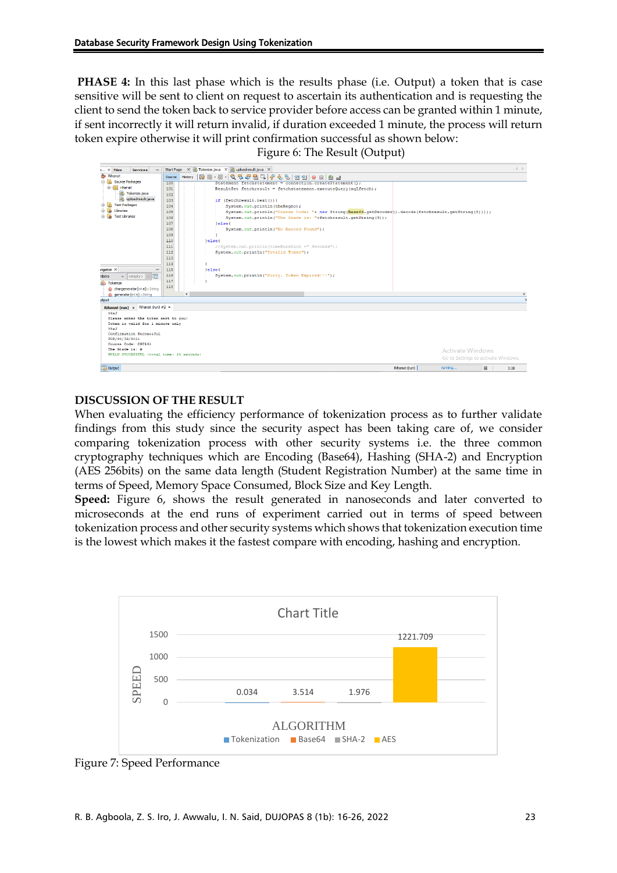**PHASE 4:** In this last phase which is the results phase (i.e. Output) a token that is case sensitive will be sent to client on request to ascertain its authentication and is requesting the client to send the token back to service provider before access can be granted within 1 minute, if sent incorrectly it will return invalid, if duration exceeded 1 minute, the process will return token expire otherwise it will print confirmation successful as shown below:

Figure 6: The Result (Output)

| $5 \times$ Files<br><b>Services</b>                           | <b>Start Page</b> | do Tokenize.java × do uploadresult.java ×<br>$\vert x \vert$                                           |                                       | $\leftarrow$ $\rightarrow$ |  |  |  |  |
|---------------------------------------------------------------|-------------------|--------------------------------------------------------------------------------------------------------|---------------------------------------|----------------------------|--|--|--|--|
| Rihanat                                                       | Source            | <b>IC</b><br>· 연합   ● 日   ≝ 급<br>History                                                               |                                       |                            |  |  |  |  |
| <b>Source Packages</b>                                        | 100               | Statement fetchstatement = connection.createStatement () ;                                             |                                       |                            |  |  |  |  |
| <b>Ell</b> rihanat                                            | 101               | ResultSet fetchresult = fetchstatement.executeOuerv(sglfetch);                                         |                                       |                            |  |  |  |  |
| Tokenize.java                                                 | 102               |                                                                                                        |                                       |                            |  |  |  |  |
| dis uploadresult.java                                         | 103               | if (fetchresult.next()){                                                                               |                                       |                            |  |  |  |  |
| <b>Test Packages</b><br>$\mathbf{a}$                          | 104               | System.out.println(theRegno);                                                                          |                                       |                            |  |  |  |  |
| Libraries<br>(4)-                                             | 105               | System.out.println("Course Code: "+ new String(Base64.getDecoder().decode(fetchresult.getString(5)))); |                                       |                            |  |  |  |  |
| 中国<br><b>Test Libraries</b>                                   | 106               | System.out.println("The Grade is: "+fetchresult.getString(3));                                         |                                       |                            |  |  |  |  |
|                                                               | 107               | lelse(                                                                                                 |                                       |                            |  |  |  |  |
|                                                               | 108               | System.out.println("No Record Found");                                                                 |                                       |                            |  |  |  |  |
|                                                               | 109               | ×                                                                                                      |                                       |                            |  |  |  |  |
|                                                               | 110               | leleset                                                                                                |                                       |                            |  |  |  |  |
|                                                               | 111               | //System.out.println(timeDuration +" Seconds");                                                        |                                       |                            |  |  |  |  |
|                                                               | 112               | System.out.println("Invalid Token");                                                                   |                                       |                            |  |  |  |  |
|                                                               | 113               |                                                                                                        |                                       |                            |  |  |  |  |
|                                                               | 114               | n,                                                                                                     |                                       |                            |  |  |  |  |
| $ri$ gator $\times$                                           | 115               | lelse{                                                                                                 |                                       |                            |  |  |  |  |
|                                                               | 116               | System.out.println("Sorry. Token Expired!!!");                                                         |                                       |                            |  |  |  |  |
| lm<br>nbers<br>$ $ <empty><br/><math>\vee</math></empty>      | 117               |                                                                                                        |                                       |                            |  |  |  |  |
| Tokenize                                                      | 118               |                                                                                                        |                                       |                            |  |  |  |  |
| (h) chargenerator(int n) : String                             |                   |                                                                                                        |                                       |                            |  |  |  |  |
| - (b) generator(int n) : String                               |                   | $\epsilon$                                                                                             |                                       | $\mathbf{v}$               |  |  |  |  |
| utput                                                         |                   |                                                                                                        |                                       | $\ddot{}$                  |  |  |  |  |
| Rihanat (run) $\times$ Rihanat (run) #2 $\times$              |                   |                                                                                                        |                                       |                            |  |  |  |  |
| 88aJ                                                          |                   |                                                                                                        |                                       |                            |  |  |  |  |
| Please enter the token sent to you:                           |                   |                                                                                                        |                                       |                            |  |  |  |  |
| Token is valid for 1 minute only                              |                   |                                                                                                        |                                       |                            |  |  |  |  |
| 88a.T                                                         |                   |                                                                                                        |                                       |                            |  |  |  |  |
| Confirmation Successful<br>FCP/99/IS/9021                     |                   |                                                                                                        |                                       |                            |  |  |  |  |
| Course Code: CSC101                                           |                   |                                                                                                        |                                       |                            |  |  |  |  |
| The Grade is: A                                               |                   |                                                                                                        |                                       |                            |  |  |  |  |
| Activate Windows<br>BUILD SUCCESSFUL (total time: 24 seconds) |                   |                                                                                                        |                                       |                            |  |  |  |  |
|                                                               |                   |                                                                                                        | Go to Settings to activate Windows.   |                            |  |  |  |  |
| <b>B</b> Output                                               |                   |                                                                                                        | Rihanat (run)<br>靏<br>running<br>3:28 |                            |  |  |  |  |

### **DISCUSSION OF THE RESULT**

When evaluating the efficiency performance of tokenization process as to further validate findings from this study since the security aspect has been taking care of, we consider comparing tokenization process with other security systems i.e. the three common cryptography techniques which are Encoding (Base64), Hashing (SHA-2) and Encryption (AES 256bits) on the same data length (Student Registration Number) at the same time in terms of Speed, Memory Space Consumed, Block Size and Key Length.

**Speed:** Figure 6, shows the result generated in nanoseconds and later converted to microseconds at the end runs of experiment carried out in terms of speed between tokenization process and other security systems which shows that tokenization execution time is the lowest which makes it the fastest compare with encoding, hashing and encryption.



Figure 7: Speed Performance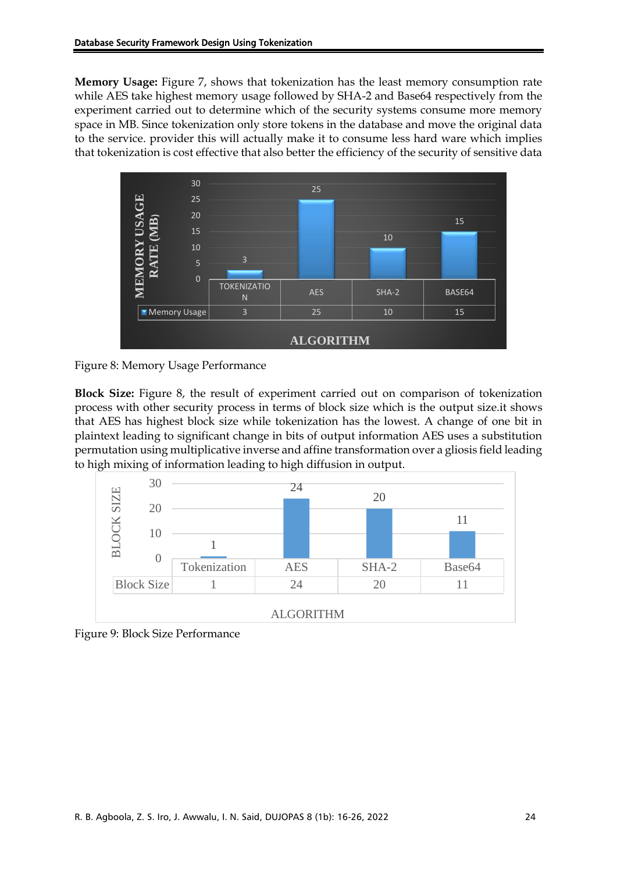**Memory Usage:** Figure 7, shows that tokenization has the least memory consumption rate while AES take highest memory usage followed by SHA-2 and Base64 respectively from the experiment carried out to determine which of the security systems consume more memory space in MB. Since tokenization only store tokens in the database and move the original data to the service. provider this will actually make it to consume less hard ware which implies that tokenization is cost effective that also better the efficiency of the security of sensitive data





**Block Size:** Figure 8, the result of experiment carried out on comparison of tokenization process with other security process in terms of block size which is the output size.it shows that AES has highest block size while tokenization has the lowest. A change of one bit in plaintext leading to significant change in bits of output information AES uses a substitution permutation using multiplicative inverse and affine transformation over a gliosis field leading to high mixing of information leading to high diffusion in output.



Figure 9: Block Size Performance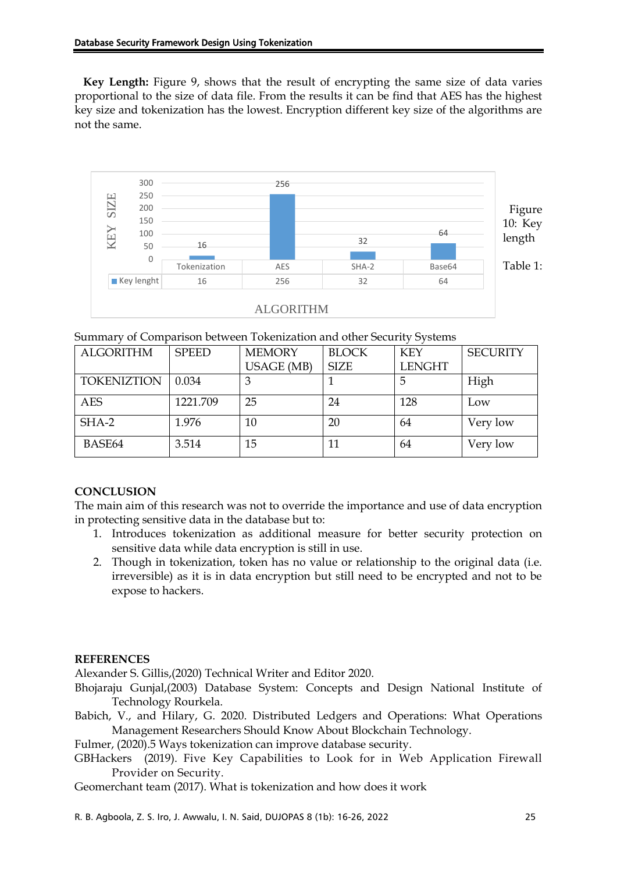**Key Length:** Figure 9, shows that the result of encrypting the same size of data varies proportional to the size of data file. From the results it can be find that AES has the highest key size and tokenization has the lowest. Encryption different key size of the algorithms are not the same.



Summary of Comparison between Tokenization and other Security Systems

| <b>ALGORITHM</b>   | <b>SPEED</b> | <b>MEMORY</b>     | <b>BLOCK</b> | <b>KEY</b>    | <b>SECURITY</b> |
|--------------------|--------------|-------------------|--------------|---------------|-----------------|
|                    |              | <b>USAGE</b> (MB) | <b>SIZE</b>  | <b>LENGHT</b> |                 |
| <b>TOKENIZTION</b> | 0.034        |                   |              |               | High            |
| <b>AES</b>         | 1221.709     | 25                | 24           | 128           | Low             |
| SHA-2              | 1.976        | 10                | 20           | 64            | Very low        |
| BASE64             | 3.514        | 15                | 11           | 64            | Very low        |

### **CONCLUSION**

The main aim of this research was not to override the importance and use of data encryption in protecting sensitive data in the database but to:

- 1. Introduces tokenization as additional measure for better security protection on sensitive data while data encryption is still in use.
- 2. Though in tokenization, token has no value or relationship to the original data (i.e. irreversible) as it is in data encryption but still need to be encrypted and not to be expose to hackers.

### **REFERENCES**

[Alexander S. Gillis,\(](https://www.techtarget.com/contributor/Alexander-S-Gillis)2020) Technical Writer and Editor 2020.

Bhojaraju Gunjal,(2003) Database System: Concepts and Design National Institute of Technology Rourkela.

Babich, V., and Hilary, G. 2020. Distributed Ledgers and Operations: What Operations Management Researchers Should Know About Blockchain Technology.

Fulmer, (2020).5 Ways tokenization can improve database security.

[GBHackers](https://gbhackers.com/author/gbhackers-on-security/) (2019). Five Key Capabilities to Look for in Web Application Firewall Provider on Security.

Geomerchant team (2017). What is tokenization and how does it work

R. B. Agboola, Z. S. Iro, J. Awwalu, I. N. Said, DUJOPAS 8 (1b): 16-26, 2022 25